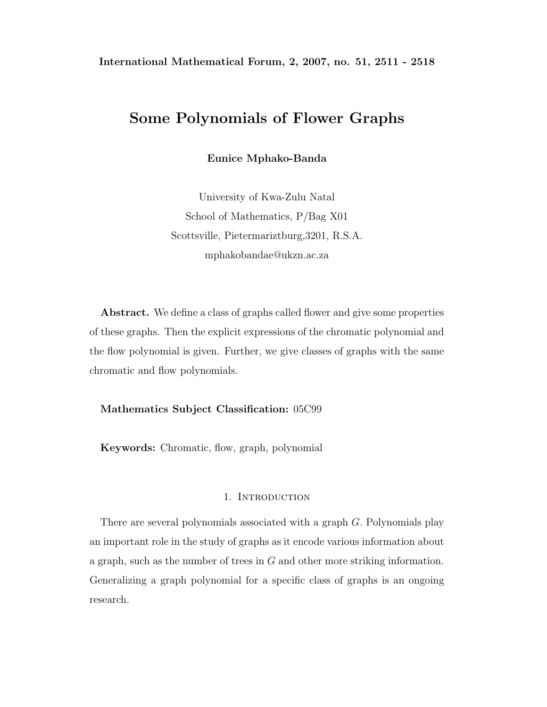# **Some Polynomials of Flower Graphs**

**Eunice Mphako-Banda**

University of Kwa-Zulu Natal School of Mathematics, P/Bag X01 Scottsville, Pietermariztburg,3201, R.S.A. mphakobandae@ukzn.ac.za

**Abstract.** We define a class of graphs called flower and give some properties of these graphs. Then the explicit expressions of the chromatic polynomial and the flow polynomial is given. Further, we give classes of graphs with the same chromatic and flow polynomials.

## **Mathematics Subject Classification:** 05C99

**Keywords:** Chromatic, flow, graph, polynomial

### 1. INTRODUCTION

There are several polynomials associated with a graph G. Polynomials play an important role in the study of graphs as it encode various information about a graph, such as the number of trees in G and other more striking information. Generalizing a graph polynomial for a specific class of graphs is an ongoing research.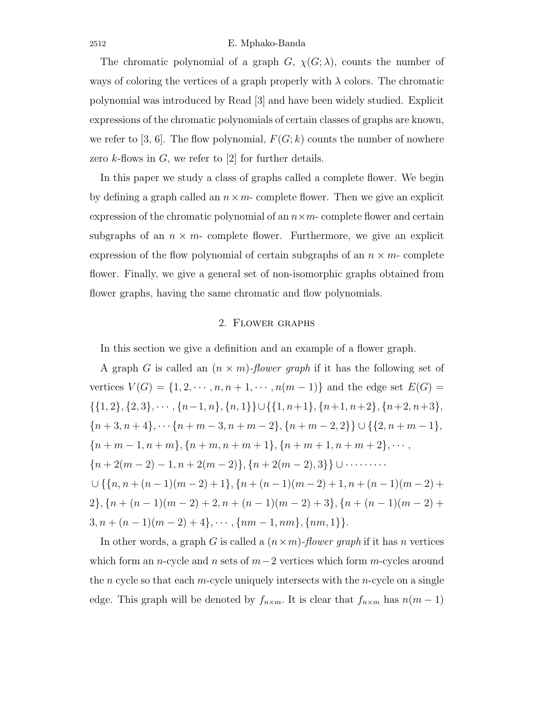#### 2512 E. Mphako-Banda

The chromatic polynomial of a graph  $G$ ,  $\chi(G; \lambda)$ , counts the number of ways of coloring the vertices of a graph properly with  $\lambda$  colors. The chromatic polynomial was introduced by Read [3] and have been widely studied. Explicit expressions of the chromatic polynomials of certain classes of graphs are known, we refer to [3, 6]. The flow polynomial,  $F(G; k)$  counts the number of nowhere zero  $k$ -flows in  $G$ , we refer to [2] for further details.

In this paper we study a class of graphs called a complete flower. We begin by defining a graph called an  $n \times m$ - complete flower. Then we give an explicit expression of the chromatic polynomial of an  $n \times m$ - complete flower and certain subgraphs of an  $n \times m$ - complete flower. Furthermore, we give an explicit expression of the flow polynomial of certain subgraphs of an  $n \times m$ - complete flower. Finally, we give a general set of non-isomorphic graphs obtained from flower graphs, having the same chromatic and flow polynomials.

## 2. Flower graphs

In this section we give a definition and an example of a flower graph.

A graph G is called an  $(n \times m)$ -flower graph if it has the following set of vertices  $V(G) = \{1, 2, \dots, n, n + 1, \dots, n(m-1)\}\$  and the edge set  $E(G)$  $\{\{1, 2\}, \{2, 3\}, \cdots, \{n-1, n\}, \{n, 1\}\} \cup \{\{1, n+1\}, \{n+1, n+2\}, \{n+2, n+3\},\$  ${n + 3, n + 4}, \cdots$  {n + m - 3, n + m - 2}, {n + m - 2, 2}} ∪ {{2, n + m - 1},  ${n + m - 1, n + m}, {n + m, n + m + 1}, {n + m + 1, n + m + 2}, \dots,$  $\{n+2(m-2)-1,n+2(m-2)\},\{n+2(m-2),3\}\}\cup\cdots\cdots$  $\cup$  {{n, n + (n - 1)(m - 2) + 1}, {n + (n - 1)(m - 2) + 1, n + (n - 1)(m - 2) + 2},  ${n + (n - 1)(m - 2) + 2, n + (n - 1)(m - 2) + 3}$ ,  ${n + (n - 1)(m - 2) +$  $3, n + (n - 1)(m - 2) + 4\}, \cdots, \{nm - 1, nm\}, \{nm, 1\}\}.$ 

In other words, a graph G is called a (n×m)*-flower graph* if it has n vertices which form an n-cycle and n sets of  $m-2$  vertices which form m-cycles around the n cycle so that each m-cycle uniquely intersects with the n-cycle on a single edge. This graph will be denoted by  $f_{n \times m}$ . It is clear that  $f_{n \times m}$  has  $n(m-1)$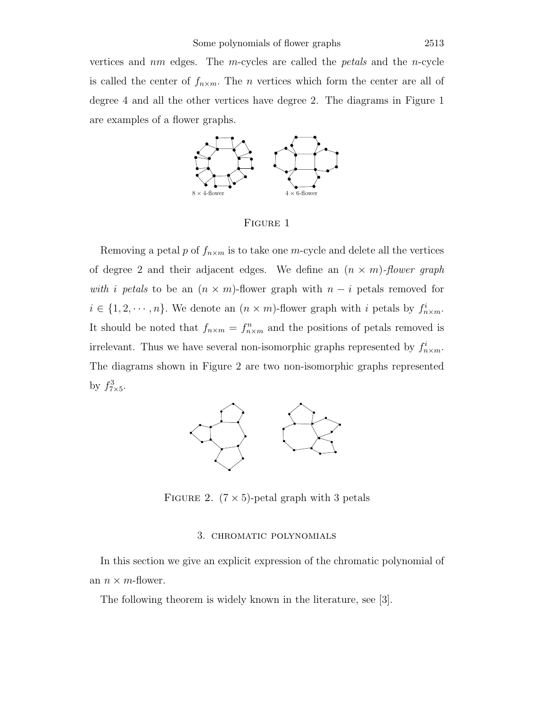vertices and nm edges. The m-cycles are called the *petals* and the n-cycle is called the center of  $f_{n \times m}$ . The *n* vertices which form the center are all of degree 4 and all the other vertices have degree 2. The diagrams in Figure 1 are examples of a flower graphs.



FIGURE 1

Removing a petal p of  $f_{n \times m}$  is to take one m-cycle and delete all the vertices of degree 2 and their adjacent edges. We define an (n × m)*-flower graph with* i *petals* to be an  $(n \times m)$ -flower graph with  $n - i$  petals removed for  $i \in \{1, 2, \dots, n\}$ . We denote an  $(n \times m)$ -flower graph with i petals by  $f^i_{n \times m}$ . It should be noted that  $f_{n \times m} = f_{n \times m}^n$  and the positions of petals removed is irrelevant. Thus we have several non-isomorphic graphs represented by  $f_{n \times m}^i$ . The diagrams shown in Figure 2 are two non-isomorphic graphs represented by  $f_{7\times 5}^3$ .



FIGURE 2.  $(7 \times 5)$ -petal graph with 3 petals

## 3. chromatic polynomials

In this section we give an explicit expression of the chromatic polynomial of an  $n \times m$ -flower.

The following theorem is widely known in the literature, see [3].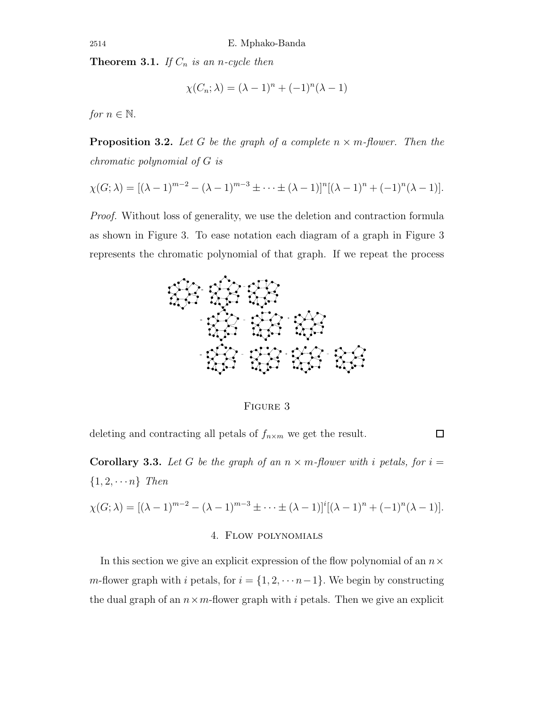**Theorem 3.1.** *If*  $C_n$  *is an n-cycle then* 

$$
\chi(C_n; \lambda) = (\lambda - 1)^n + (-1)^n (\lambda - 1)
$$

*for*  $n \in \mathbb{N}$ .

**Proposition 3.2.** Let G be the graph of a complete  $n \times m$ -flower. Then the *chromatic polynomial of* G *is*

$$
\chi(G; \lambda) = [(\lambda - 1)^{m-2} - (\lambda - 1)^{m-3} \pm \cdots \pm (\lambda - 1)]^n [(\lambda - 1)^n + (-1)^n (\lambda - 1)].
$$

*Proof.* Without loss of generality, we use the deletion and contraction formula as shown in Figure 3. To ease notation each diagram of a graph in Figure 3 represents the chromatic polynomial of that graph. If we repeat the process



Figure 3

 $\Box$ 

deleting and contracting all petals of  $f_{n \times m}$  we get the result.

**Corollary 3.3.** Let G be the graph of an  $n \times m$ -flower with i petals, for  $i =$  $\{1, 2, \cdots n\}$  *Then* 

$$
\chi(G; \lambda) = [(\lambda - 1)^{m-2} - (\lambda - 1)^{m-3} \pm \dots \pm (\lambda - 1)]^i [(\lambda - 1)^n + (-1)^n (\lambda - 1)].
$$
  
4. **Flow polynomials**

In this section we give an explicit expression of the flow polynomial of an  $n \times$ m-flower graph with i petals, for  $i = \{1, 2, \dots n-1\}$ . We begin by constructing the dual graph of an  $n \times m$ -flower graph with i petals. Then we give an explicit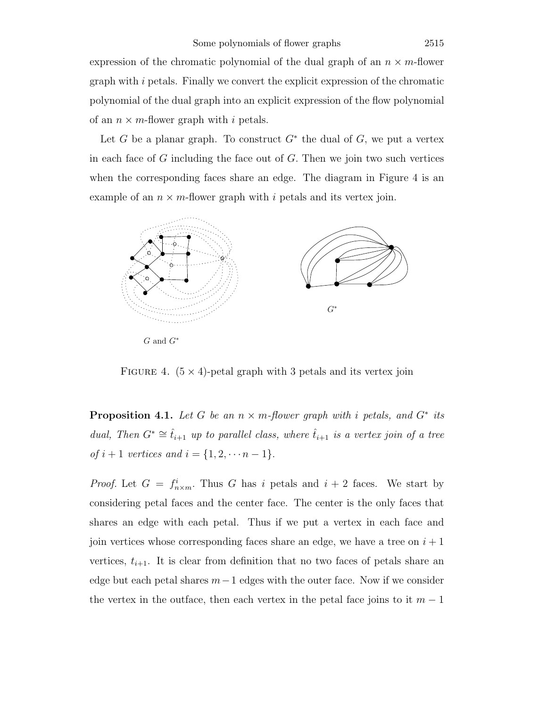expression of the chromatic polynomial of the dual graph of an  $n \times m$ -flower graph with  $i$  petals. Finally we convert the explicit expression of the chromatic polynomial of the dual graph into an explicit expression of the flow polynomial of an  $n \times m$ -flower graph with i petals.

Let G be a planar graph. To construct  $G^*$  the dual of G, we put a vertex in each face of  $G$  including the face out of  $G$ . Then we join two such vertices when the corresponding faces share an edge. The diagram in Figure 4 is an example of an  $n \times m$ -flower graph with i petals and its vertex join.



FIGURE 4.  $(5 \times 4)$ -petal graph with 3 petals and its vertex join

**Proposition 4.1.** Let G be an  $n \times m$ -flower graph with i petals, and  $G^*$  its *dual, Then*  $G^* \cong \hat{t}_{i+1}$  *up to parallel class, where*  $\hat{t}_{i+1}$  *is a vertex join of a tree of*  $i + 1$  *vertices and*  $i = \{1, 2, \dots n - 1\}.$ 

*Proof.* Let  $G = f_{n \times m}^i$ . Thus G has i petals and  $i + 2$  faces. We start by considering petal faces and the center face. The center is the only faces that shares an edge with each petal. Thus if we put a vertex in each face and join vertices whose corresponding faces share an edge, we have a tree on  $i+1$ vertices,  $t_{i+1}$ . It is clear from definition that no two faces of petals share an edge but each petal shares  $m-1$  edges with the outer face. Now if we consider the vertex in the outface, then each vertex in the petal face joins to it  $m-1$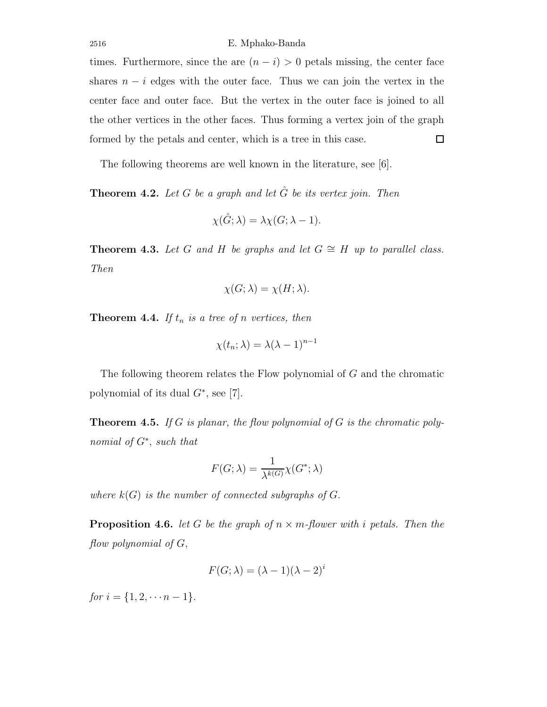times. Furthermore, since the are  $(n - i) > 0$  petals missing, the center face shares  $n - i$  edges with the outer face. Thus we can join the vertex in the center face and outer face. But the vertex in the outer face is joined to all the other vertices in the other faces. Thus forming a vertex join of the graph formed by the petals and center, which is a tree in this case.  $\Box$ 

The following theorems are well known in the literature, see [6].

**Theorem 4.2.** *Let* G *be a graph and let* Gˆ *be its vertex join. Then*

$$
\chi(\hat{G};\lambda) = \lambda \chi(G;\lambda - 1).
$$

**Theorem 4.3.** *Let* G and H *be graphs and let*  $G \cong H$  *up to parallel class. Then*

$$
\chi(G; \lambda) = \chi(H; \lambda).
$$

**Theorem 4.4.** *If*  $t_n$  *is a tree of n vertices, then* 

$$
\chi(t_n; \lambda) = \lambda(\lambda - 1)^{n-1}
$$

The following theorem relates the Flow polynomial of G and the chromatic polynomial of its dual  $G^*$ , see [7].

**Theorem 4.5.** *If* G *is planar, the flow polynomial of* G *is the chromatic polynomial of* G∗, *such that*

$$
F(G; \lambda) = \frac{1}{\lambda^{k(G)}} \chi(G^*; \lambda)
$$

*where*  $k(G)$  *is the number of connected subgraphs of*  $G$ *.* 

**Proposition 4.6.** *let* G *be the graph of*  $n \times m$ -flower with *i* petals. Then the *flow polynomial of* G,

$$
F(G; \lambda) = (\lambda - 1)(\lambda - 2)^{i}
$$

*for*  $i = \{1, 2, \dots n - 1\}.$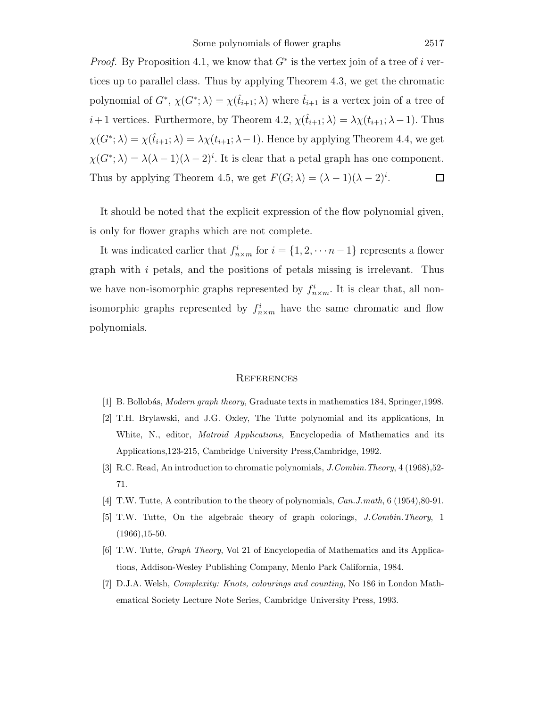*Proof.* By Proposition 4.1, we know that  $G^*$  is the vertex join of a tree of i vertices up to parallel class. Thus by applying Theorem 4.3, we get the chromatic polynomial of  $G^*$ ,  $\chi(G^*; \lambda) = \chi(\hat{t}_{i+1}; \lambda)$  where  $\hat{t}_{i+1}$  is a vertex join of a tree of  $i+1$  vertices. Furthermore, by Theorem 4.2,  $\chi(\hat{t}_{i+1}; \lambda) = \lambda \chi(t_{i+1}; \lambda-1)$ . Thus  $\chi(G^*; \lambda) = \chi(\hat{t}_{i+1}; \lambda) = \lambda \chi(t_{i+1}; \lambda - 1)$ . Hence by applying Theorem 4.4, we get  $\chi(G^*; \lambda) = \lambda(\lambda - 1)(\lambda - 2)^i$ . It is clear that a petal graph has one component. Thus by applying Theorem 4.5, we get  $F(G; \lambda) = (\lambda - 1)(\lambda - 2)^i$ .  $\Box$ 

It should be noted that the explicit expression of the flow polynomial given, is only for flower graphs which are not complete.

It was indicated earlier that  $f_{n \times m}^i$  for  $i = \{1, 2, \dots n-1\}$  represents a flower graph with i petals, and the positions of petals missing is irrelevant. Thus we have non-isomorphic graphs represented by  $f_{n \times m}^i$ . It is clear that, all nonisomorphic graphs represented by  $f_{n \times m}^i$  have the same chromatic and flow polynomials.

#### **REFERENCES**

- [1] B. Bollob´as, *Modern graph theory,* Graduate texts in mathematics 184, Springer,1998.
- [2] T.H. Brylawski, and J.G. Oxley, The Tutte polynomial and its applications, In White, N., editor, *Matroid Applications*, Encyclopedia of Mathematics and its Applications,123-215, Cambridge University Press,Cambridge, 1992.
- [3] R.C. Read, An introduction to chromatic polynomials, *J.Combin.Theory*, 4 (1968),52- 71.
- [4] T.W. Tutte, A contribution to the theory of polynomials, *Can.J.math*, 6 (1954),80-91.
- [5] T.W. Tutte, On the algebraic theory of graph colorings, *J.Combin.Theory*, 1  $(1966), 15-50.$
- [6] T.W. Tutte, *Graph Theory*, Vol 21 of Encyclopedia of Mathematics and its Applications, Addison-Wesley Publishing Company, Menlo Park California, 1984.
- [7] D.J.A. Welsh, *Complexity: Knots, colourings and counting,* No 186 in London Mathematical Society Lecture Note Series, Cambridge University Press, 1993.